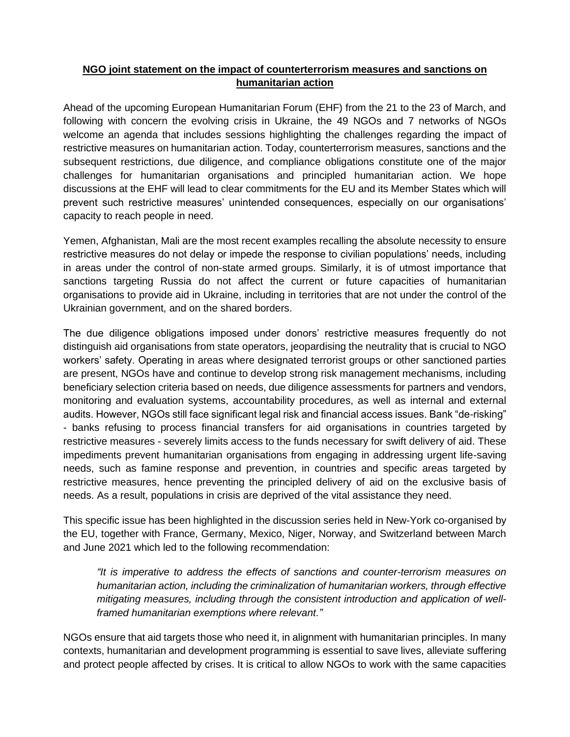## **NGO joint statement on the impact of counterterrorism measures and sanctions on humanitarian action**

Ahead of the upcoming European Humanitarian Forum (EHF) from the 21 to the 23 of March, and following with concern the evolving crisis in Ukraine, the 49 NGOs and 7 networks of NGOs welcome an agenda that includes sessions highlighting the challenges regarding the impact of restrictive measures on humanitarian action. Today, counterterrorism measures, sanctions and the subsequent restrictions, due diligence, and compliance obligations constitute one of the major challenges for humanitarian organisations and principled humanitarian action. We hope discussions at the EHF will lead to clear commitments for the EU and its Member States which will prevent such restrictive measures' unintended consequences, especially on our organisations' capacity to reach people in need.

Yemen, Afghanistan, Mali are the most recent examples recalling the absolute necessity to ensure restrictive measures do not delay or impede the response to civilian populations' needs, including in areas under the control of non-state armed groups. Similarly, it is of utmost importance that sanctions targeting Russia do not affect the current or future capacities of humanitarian organisations to provide aid in Ukraine, including in territories that are not under the control of the Ukrainian government, and on the shared borders.

The due diligence obligations imposed under donors' restrictive measures frequently do not distinguish aid organisations from state operators, jeopardising the neutrality that is crucial to NGO workers' safety. Operating in areas where designated terrorist groups or other sanctioned parties are present, NGOs have and continue to develop strong risk management mechanisms, including beneficiary selection criteria based on needs, due diligence assessments for partners and vendors, monitoring and evaluation systems, accountability procedures, as well as internal and external audits. However, NGOs still face significant legal risk and financial access issues. Bank "de-risking" - banks refusing to process financial transfers for aid organisations in countries targeted by restrictive measures - severely limits access to the funds necessary for swift delivery of aid. These impediments prevent humanitarian organisations from engaging in addressing urgent life-saving needs, such as famine response and prevention, in countries and specific areas targeted by restrictive measures, hence preventing the principled delivery of aid on the exclusive basis of needs. As a result, populations in crisis are deprived of the vital assistance they need.

This specific issue has been highlighted in the discussion series held in New-York co-organised by the EU, together with France, Germany, Mexico, Niger, Norway, and Switzerland between March and June 2021 which led to the following recommendation:

*"It is imperative to address the effects of sanctions and counter-terrorism measures on humanitarian action, including the criminalization of humanitarian workers, through effective mitigating measures, including through the consistent introduction and application of wellframed humanitarian exemptions where relevant."*

NGOs ensure that aid targets those who need it, in alignment with humanitarian principles. In many contexts, humanitarian and development programming is essential to save lives, alleviate suffering and protect people affected by crises. It is critical to allow NGOs to work with the same capacities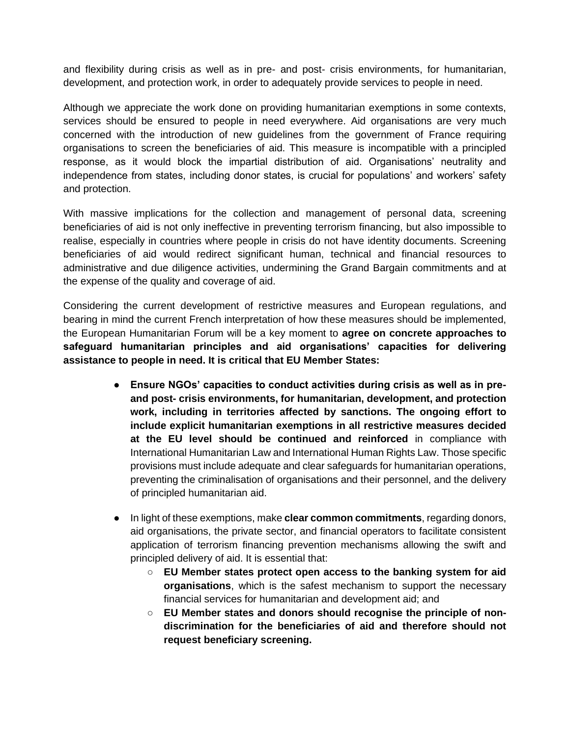and flexibility during crisis as well as in pre- and post- crisis environments, for humanitarian, development, and protection work, in order to adequately provide services to people in need.

Although we appreciate the work done on providing humanitarian exemptions in some contexts, services should be ensured to people in need everywhere. Aid organisations are very much concerned with the introduction of new guidelines from the government of France requiring organisations to screen the beneficiaries of aid. This measure is incompatible with a principled response, as it would block the impartial distribution of aid. Organisations' neutrality and independence from states, including donor states, is crucial for populations' and workers' safety and protection.

With massive implications for the collection and management of personal data, screening beneficiaries of aid is not only ineffective in preventing terrorism financing, but also impossible to realise, especially in countries where people in crisis do not have identity documents. Screening beneficiaries of aid would redirect significant human, technical and financial resources to administrative and due diligence activities, undermining the Grand Bargain commitments and at the expense of the quality and coverage of aid.

Considering the current development of restrictive measures and European regulations, and bearing in mind the current French interpretation of how these measures should be implemented, the European Humanitarian Forum will be a key moment to **agree on concrete approaches to safeguard humanitarian principles and aid organisations' capacities for delivering assistance to people in need. It is critical that EU Member States:**

- **Ensure NGOs' capacities to conduct activities during crisis as well as in preand post- crisis environments, for humanitarian, development, and protection work, including in territories affected by sanctions. The ongoing effort to include explicit humanitarian exemptions in all restrictive measures decided at the EU level should be continued and reinforced** in compliance with International Humanitarian Law and International Human Rights Law. Those specific provisions must include adequate and clear safeguards for humanitarian operations, preventing the criminalisation of organisations and their personnel, and the delivery of principled humanitarian aid.
- In light of these exemptions, make **clear common commitments**, regarding donors, aid organisations, the private sector, and financial operators to facilitate consistent application of terrorism financing prevention mechanisms allowing the swift and principled delivery of aid. It is essential that:
	- **EU Member states protect open access to the banking system for aid organisations**, which is the safest mechanism to support the necessary financial services for humanitarian and development aid; and
	- **EU Member states and donors should recognise the principle of nondiscrimination for the beneficiaries of aid and therefore should not request beneficiary screening.**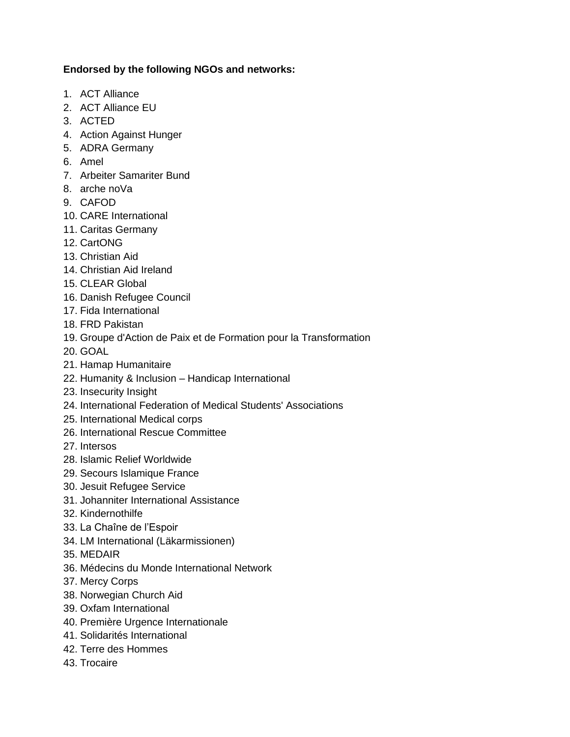## **Endorsed by the following NGOs and networks:**

- 1. ACT Alliance
- 2. ACT Alliance EU
- 3. ACTED
- 4. Action Against Hunger
- 5. ADRA Germany
- 6. Amel
- 7. Arbeiter Samariter Bund
- 8. arche noVa
- 9. CAFOD
- 10. CARE International
- 11. Caritas Germany
- 12. CartONG
- 13. Christian Aid
- 14. Christian Aid Ireland
- 15. CLEAR Global
- 16. Danish Refugee Council
- 17. Fida International
- 18. FRD Pakistan
- 19. Groupe d'Action de Paix et de Formation pour la Transformation
- 20. GOAL
- 21. Hamap Humanitaire
- 22. Humanity & Inclusion Handicap International
- 23. Insecurity Insight
- 24. International Federation of Medical Students' Associations
- 25. International Medical corps
- 26. International Rescue Committee
- 27. Intersos
- 28. Islamic Relief Worldwide
- 29. Secours Islamique France
- 30. Jesuit Refugee Service
- 31. Johanniter International Assistance
- 32. Kindernothilfe
- 33. La Chaîne de l'Espoir
- 34. LM International (Läkarmissionen)
- 35. MEDAIR
- 36. Médecins du Monde International Network
- 37. Mercy Corps
- 38. Norwegian Church Aid
- 39. Oxfam International
- 40. Première Urgence Internationale
- 41. Solidarités International
- 42. Terre des Hommes
- 43. Trocaire